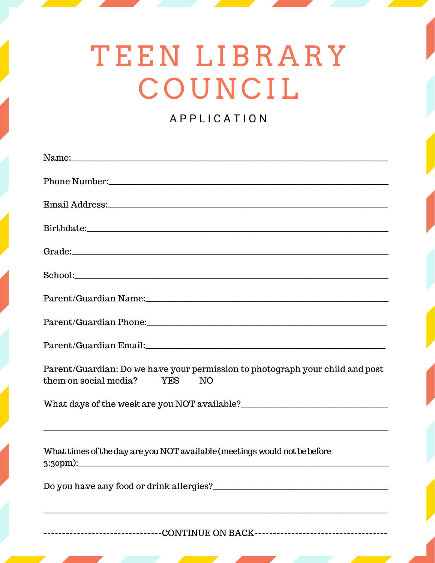# TEEN LIBRARY COUNCIL

### APPLICATION

| Name:                                                                                                                                                                                                                          |
|--------------------------------------------------------------------------------------------------------------------------------------------------------------------------------------------------------------------------------|
|                                                                                                                                                                                                                                |
|                                                                                                                                                                                                                                |
|                                                                                                                                                                                                                                |
| Grade: etc. and a series of the series of the series of the series of the series of the series of the series of the series of the series of the series of the series of the series of the series of the series of the series o |
|                                                                                                                                                                                                                                |
|                                                                                                                                                                                                                                |
|                                                                                                                                                                                                                                |
|                                                                                                                                                                                                                                |
| Parent/Guardian: Do we have your permission to photograph your child and post<br>them on social media? YES<br>NO                                                                                                               |
|                                                                                                                                                                                                                                |
|                                                                                                                                                                                                                                |
| What times of the day are you NOT available (meetings would not be before                                                                                                                                                      |
|                                                                                                                                                                                                                                |
|                                                                                                                                                                                                                                |
|                                                                                                                                                                                                                                |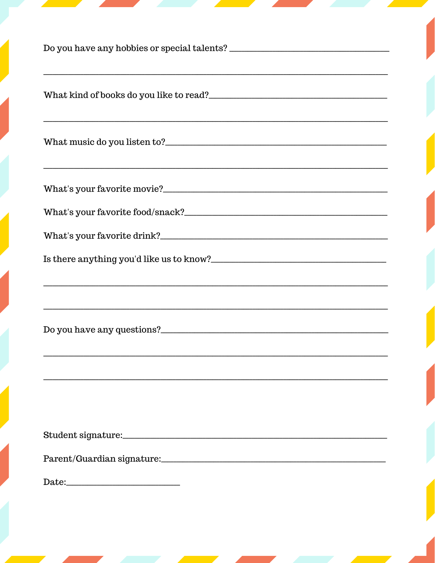| <u> 1989 - Andrea Santana, amerikana amerikana amerikana amerikana amerikana amerikana amerikana amerikana amerik</u> |  |
|-----------------------------------------------------------------------------------------------------------------------|--|
|                                                                                                                       |  |
|                                                                                                                       |  |
|                                                                                                                       |  |
| What's your favorite drink?                                                                                           |  |
| <u> 1989 - Johann Stoff, deutscher Stoff, der Stoff, der Stoff, der Stoff, der Stoff, der Stoff, der Stoff, der S</u> |  |
| Do you have any questions?                                                                                            |  |
|                                                                                                                       |  |
|                                                                                                                       |  |
|                                                                                                                       |  |
|                                                                                                                       |  |
|                                                                                                                       |  |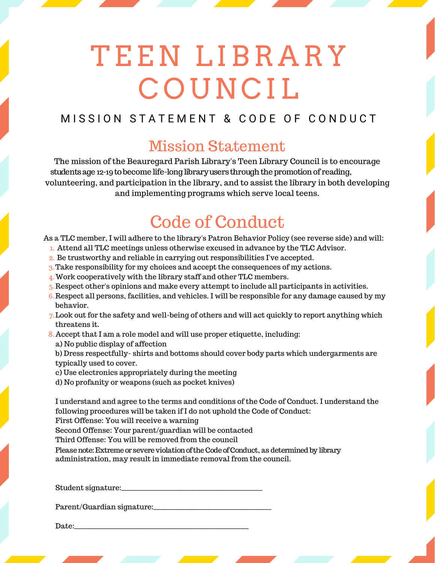# T EEN LIB R A R Y **COUNCIL**

### MISSION STATEMENT & CODE OF CONDUCT

## Mission Statement

The mission of the Beauregard Parish Library's Teen Library Council is to encourage volunteering, and participation in the library, and to assist the library in both developing and implementing programs which serve local teens. students age 12-19 to become life-long library users through the promotion of reading,

## Code of Conduct

As a TLC member, I will adhere to the library's Patron Behavior Policy (see reverse side) and will:

- Attend all TLC meetings unless otherwise excused in advance by the TLC Advisor. 1.
- 2. Be trustworthy and reliable in carrying out responsibilities I've accepted.
- Take responsibility for my choices and accept the consequences of my actions. 3.
- Work cooperatively with the library staff and other TLC members. 4.
- Respect other's opinions and make every attempt to include all participants in activities. 5.
- Respect all persons, facilities, and vehicles. I will be responsible for any damage caused by my 6. behavior.
- Look out for the safety and well-being of others and will act quickly to report anything which 7. threatens it.
- Accept that I am a role model and will use proper etiquette, including: 8.
	- a) No public display of affection

b) Dress respectfully- shirts and bottoms should cover body parts which undergarments are typically used to cover.

- c) Use electronics appropriately during the meeting
- d) No profanity or weapons (such as pocket knives)

I understand and agree to the terms and conditions of the Code of Conduct. I understand the following procedures will be taken if I do not uphold the Code of Conduct:

First Offense: You will receive a warning

Second Offense: Your parent/guardian will be contacted

Third Offense: You will be removed from the council

administration, may result in immediate removal from the council. Please note: Extreme or severe violation of the Code of Conduct, as determined by library

Student signature:

Parent/Guardian signature:

Date:\_\_\_\_\_\_\_\_\_\_\_\_\_\_\_\_\_\_\_\_\_\_\_\_\_\_\_\_\_\_\_\_\_\_\_\_\_\_\_\_\_\_\_\_\_\_\_\_\_\_\_\_\_\_\_\_\_\_\_\_\_\_\_\_\_\_\_\_